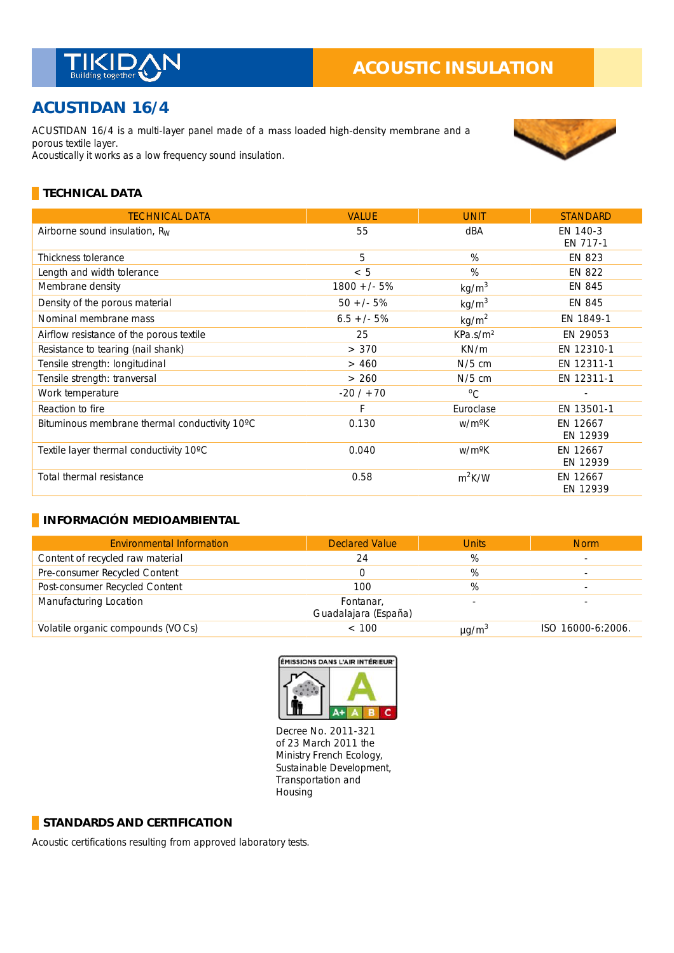

# **ACUSTIDAN 16/4**

ACUSTIDAN 16/4 is a multi-layer panel made of a mass loaded high-density membrane and a porous textile layer. Acoustically it works as a low frequency sound insulation.



## **TECHNICAL DATA**

| <b>TECHNICAL DATA</b>                         | <b>VALUE</b>  | <b>UNIT</b>          | <b>STANDARD</b>      |
|-----------------------------------------------|---------------|----------------------|----------------------|
| Airborne sound insulation, $R_W$              | 55            | dBA                  | EN 140-3<br>EN 717-1 |
| Thickness tolerance                           | 5             | %                    | <b>EN 823</b>        |
| Length and width tolerance                    | < 5           | %                    | EN 822               |
| Membrane density                              | $1800 +/- 5%$ | kg/m <sup>3</sup>    | EN 845               |
| Density of the porous material                | $50 +/- 5%$   | kg/m <sup>3</sup>    | EN 845               |
| Nominal membrane mass                         | $6.5 +/- 5%$  | kg/m <sup>2</sup>    | EN 1849-1            |
| Airflow resistance of the porous textile      | 25            | KPa.s/m <sup>2</sup> | EN 29053             |
| Resistance to tearing (nail shank)            | > 370         | KN/m                 | EN 12310-1           |
| Tensile strength: longitudinal                | > 460         | $N/5$ cm             | EN 12311-1           |
| Tensile strength: tranversal                  | > 260         | $N/5$ cm             | EN 12311-1           |
| Work temperature                              | $-20/ + 70$   | $^{\circ}C$          |                      |
| Reaction to fire                              | F             | Euroclase            | EN 13501-1           |
| Bituminous membrane thermal conductivity 10°C | 0.130         | w/m <sup>o</sup> K   | EN 12667<br>EN 12939 |
| Textile layer thermal conductivity 10°C       | 0.040         | w/m <sup>o</sup> K   | EN 12667<br>EN 12939 |
| Total thermal resistance                      | 0.58          | $m^2K/W$             | EN 12667<br>EN 12939 |

#### **INFORMACIÓN MEDIOAMBIENTAL**

| <b>Environmental Information</b>  | <b>Declared Value</b>             | <b>Units</b>           | <b>Norm</b>       |
|-----------------------------------|-----------------------------------|------------------------|-------------------|
| Content of recycled raw material  | 24                                | %                      |                   |
| Pre-consumer Recycled Content     |                                   | %                      |                   |
| Post-consumer Recycled Content    | 100                               | %                      |                   |
| Manufacturing Location            | Fontanar,<br>Guadalajara (España) |                        |                   |
| Volatile organic compounds (VOCs) | < 100                             | $\mu$ g/m <sup>3</sup> | ISO 16000-6:2006. |



Decree No. 2011-321 of 23 March 2011 the Ministry French Ecology, Sustainable Development, Transportation and Housing

#### **STANDARDS AND CERTIFICATION**

Acoustic certifications resulting from approved laboratory tests.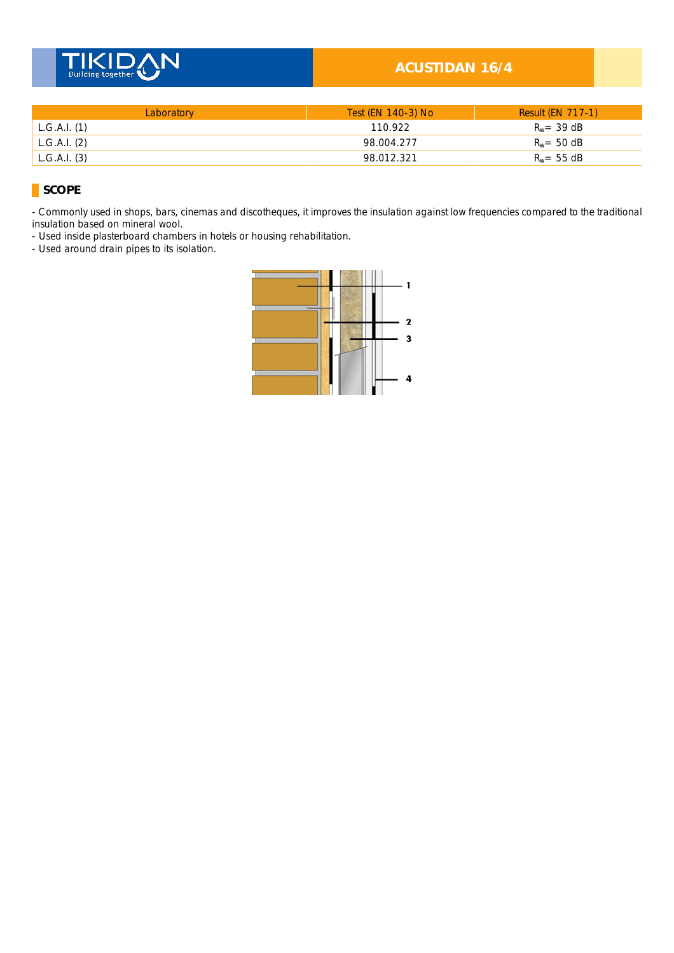

### **ACUSTIDAN 16/4**

| Laboratory   | Test (EN 140-3) No | <b>Result (EN 717-1)</b> |
|--------------|--------------------|--------------------------|
| L.G.A.I. (1) | 110.922            | $R_w = 39$ dB            |
| L.G.A.I. (2) | 98.004.277         | $R_w = 50$ dB            |
| L.G.A.I. (3) | 98.012.321         | $R_w = 55$ dB            |

## **SCOPE**

- Commonly used in shops, bars, cinemas and discotheques, it improves the insulation against low frequencies compared to the traditional insulation based on mineral wool. \_

- Used inside plasterboard chambers in hotels or housing rehabilitation.

- Used around drain pipes to its isolation.

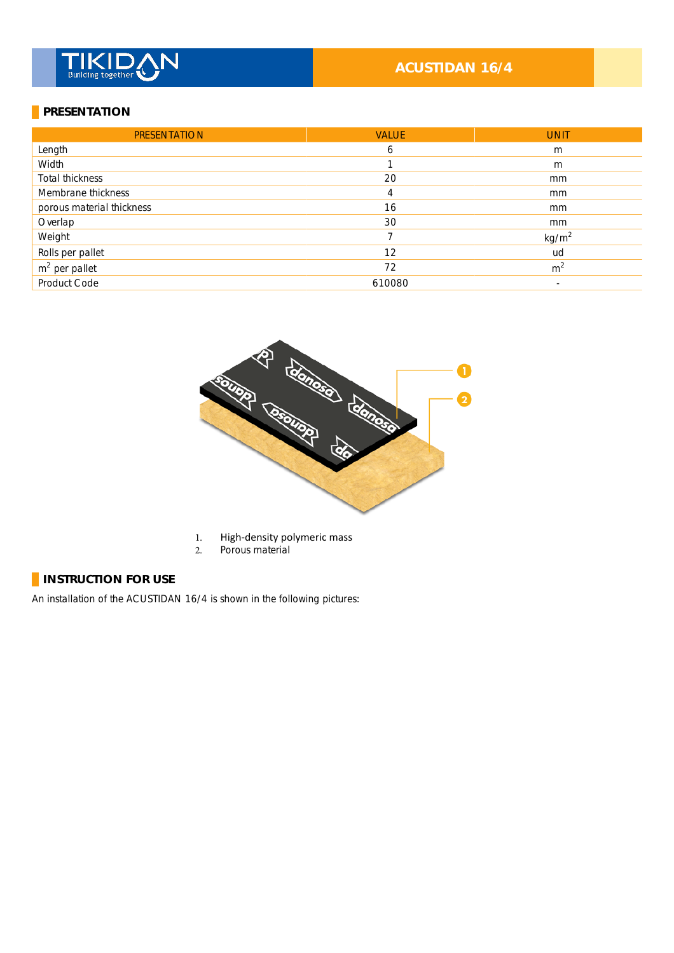# **TIKID**

# **ACUSTIDAN 16/4**

#### **PRESENTATION**

| <b>PRESENTATION</b>       | <b>VALUE</b> | <b>UNIT</b>       |
|---------------------------|--------------|-------------------|
| Length                    | 6            | m                 |
| Width                     |              | m                 |
| Total thickness           | 20           | mm                |
| Membrane thickness        | 4            | mm                |
| porous material thickness | 16           | mm                |
| Overlap                   | 30           | mm                |
| Weight                    | 7            | kg/m <sup>2</sup> |
| Rolls per pallet          | 12           | ud                |
| $m2$ per pallet           | 72           | m <sup>2</sup>    |
| Product Code              | 610080       | ۰                 |



- 1. High-density polymeric mass<br>2. Porous material
- Porous material

# **INSTRUCTION FOR USE**

An installation of the ACUSTIDAN 16/4 is shown in the following pictures: